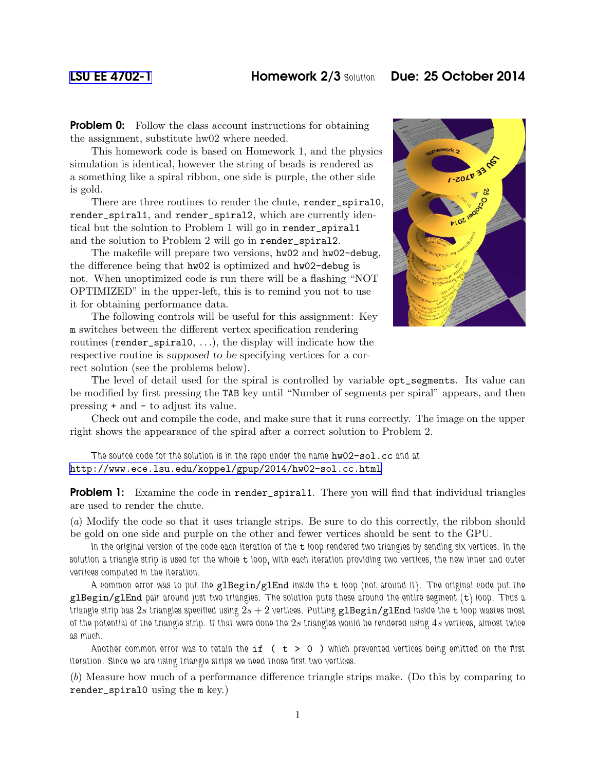## [LSU EE 4702-1](http://www.ece.lsu.edu/koppel/gpup/) Homework 2/3 *Solution* Due: 25 October 2014

**Problem 0:** Follow the class account instructions for obtaining the assignment, substitute hw02 where needed.

This homework code is based on Homework 1, and the physics simulation is identical, however the string of beads is rendered as a something like a spiral ribbon, one side is purple, the other side is gold.

There are three routines to render the chute, render\_spiral0, render\_spiral1, and render\_spiral2, which are currently identical but the solution to Problem 1 will go in render\_spiral1 and the solution to Problem 2 will go in render\_spiral2.

The makefile will prepare two versions, hw02 and hw02-debug, the difference being that hw02 is optimized and hw02-debug is not. When unoptimized code is run there will be a flashing "NOT OPTIMIZED" in the upper-left, this is to remind you not to use it for obtaining performance data.

The following controls will be useful for this assignment: Key m switches between the different vertex specification rendering routines (render\_spiral0, . . .), the display will indicate how the respective routine is supposed to be specifying vertices for a correct solution (see the problems below).



The level of detail used for the spiral is controlled by variable opt\_segments. Its value can be modified by first pressing the TAB key until "Number of segments per spiral" appears, and then pressing + and - to adjust its value.

Check out and compile the code, and make sure that it runs correctly. The image on the upper right shows the appearance of the spiral after a correct solution to Problem 2.

*The source code for the solution is in the repo under the name* hw02-sol.cc *and at* <http://www.ece.lsu.edu/koppel/gpup/2014/hw02-sol.cc.html>

**Problem 1:** Examine the code in render\_spiral1. There you will find that individual triangles are used to render the chute.

(*a*) Modify the code so that it uses triangle strips. Be sure to do this correctly, the ribbon should be gold on one side and purple on the other and fewer vertices should be sent to the GPU.

In the original version of the code each iteration of the t loop rendered two triangles by sending six vertices. In the solution a triangle strip is used for the whole t loop, with each iteration providing two vertices, the new inner and outer *vertices computed in the iteration.*

*A common error was to put the* glBegin/glEnd *inside the* t *loop (not around it). The original code put the* glBegin/glEnd *pair around just two triangles. The solution puts these around the entire segment (*t*) loop. Thus a triangle strip has* 2s *triangles specified using* 2s + 2 *vertices. Putting* glBegin/glEnd *inside the* t *loop wastes most of the potential of the triangle strip. If that were done the* 2s *triangles would be rendered using* 4s *vertices, almost twice as much.*

*Another common error was to retain the* if ( t > 0 ) *which prevented vertices being emitted on the first iteration. Since we are using triangle strips we need those first two vertices.*

(*b*) Measure how much of a performance difference triangle strips make. (Do this by comparing to render\_spiral0 using the m key.)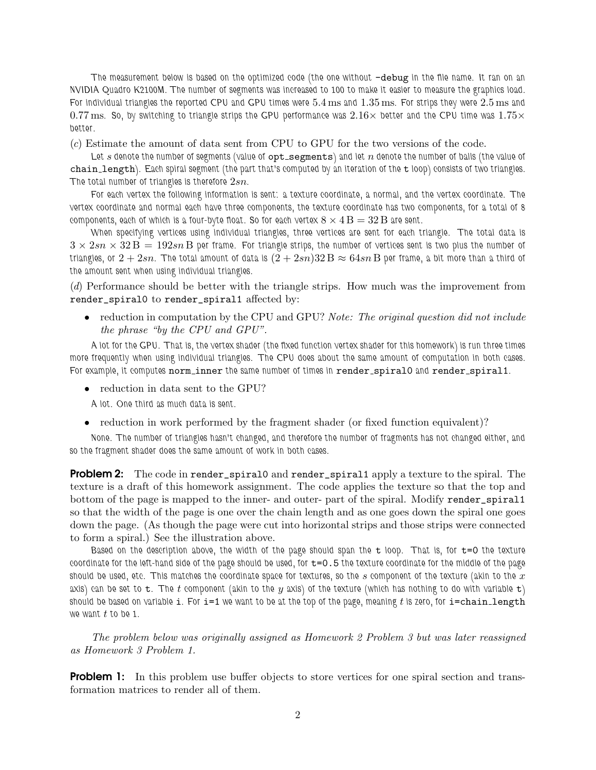*The measurement below is based on the optimized code (the one without* -debug *in the file name. It ran on an NVIDIA Quadro K2100M. The number of segments was increased to 100 to make it easier to measure the graphics load. For individual triangles the reported CPU and GPU times were* 5.4 ms *and* 1.35 ms*. For strips they were* 2.5 ms *and*  $0.77$  ms. So, by switching to triangle strips the GPU performance was  $2.16\times$  better and the CPU time was  $1.75\times$ *better.*

(*c*) Estimate the amount of data sent from CPU to GPU for the two versions of the code.

Let s denote the number of segments (value of opt segments) and let n denote the number of balls (the value of chain length*). Each spiral segment (the part that's computed by an iteration of the* t *loop) consists of two triangles. The total number of triangles is therefore* 2sn*.*

*For each vertex the following information is sent: a texture coordinate, a normal, and the vertex coordinate. The vertex coordinate and normal each have three components, the texture coordinate has two components, for a total of 8 components, each of which is a four-byte float. So for each vertex*  $8 \times 4 \,\mathrm{B} = 32 \,\mathrm{B}$  are sent.

*When specifying vertices using individual triangles, three vertices are sent for each triangle. The total data is*  $3 \times 2sn \times 32 B = 192sn B$  per frame. For triangle strips, the number of vertices sent is two plus the number of *triangles, or*  $2 + 2sn$ . The total amount of data is  $(2 + 2sn)32 B \approx 64sn B$  per frame, a bit more than a third of *the amount sent when using individual triangles.*

(*d*) Performance should be better with the triangle strips. How much was the improvement from render\_spiral0 to render\_spiral1 affected by:

• reduction in computation by the CPU and GPU? *Note: The original question did not include the phrase "by the CPU and GPU".*

*A lot for the GPU. That is, the vertex shader (the fixed function vertex shader for this homework) is run three times more frequently when using individual triangles. The CPU does about the same amount of computation in both cases.* For example, it computes norm\_inner the same number of times in render\_spiral0 and render\_spiral1.

• reduction in data sent to the GPU?

*A lot. One third as much data is sent.*

• reduction in work performed by the fragment shader (or fixed function equivalent)?

*None. The number of triangles hasn't changed, and therefore the number of fragments has not changed either, and so the fragment shader does the same amount of work in both cases.*

**Problem 2:** The code in render\_spiral0 and render\_spiral1 apply a texture to the spiral. The texture is a draft of this homework assignment. The code applies the texture so that the top and bottom of the page is mapped to the inner- and outer- part of the spiral. Modify render\_spiral1 so that the width of the page is one over the chain length and as one goes down the spiral one goes down the page. (As though the page were cut into horizontal strips and those strips were connected to form a spiral.) See the illustration above.

*Based on the description above, the width of the page should span the* **t** *loop.* That is, for **t=0** the texture *coordinate for the left-hand side of the page should be used, for* t=0.5 *the texture coordinate for the middle of the page* should be used, etc. This matches the coordinate space for textures, so the s component of the texture (akin to the x *axis) can be set to* t*. The* t *component (akin to the* y *axis) of the texture (which has nothing to do with variable* t*) should be based on variable* i*. For* i=1 *we want to be at the top of the page, meaning* t *is zero, for* i=chain length *we want* t *to be 1.*

*The problem below was originally assigned as Homework 2 Problem 3 but was later reassigned as Homework 3 Problem 1.*

**Problem 1:** In this problem use buffer objects to store vertices for one spiral section and transformation matrices to render all of them.